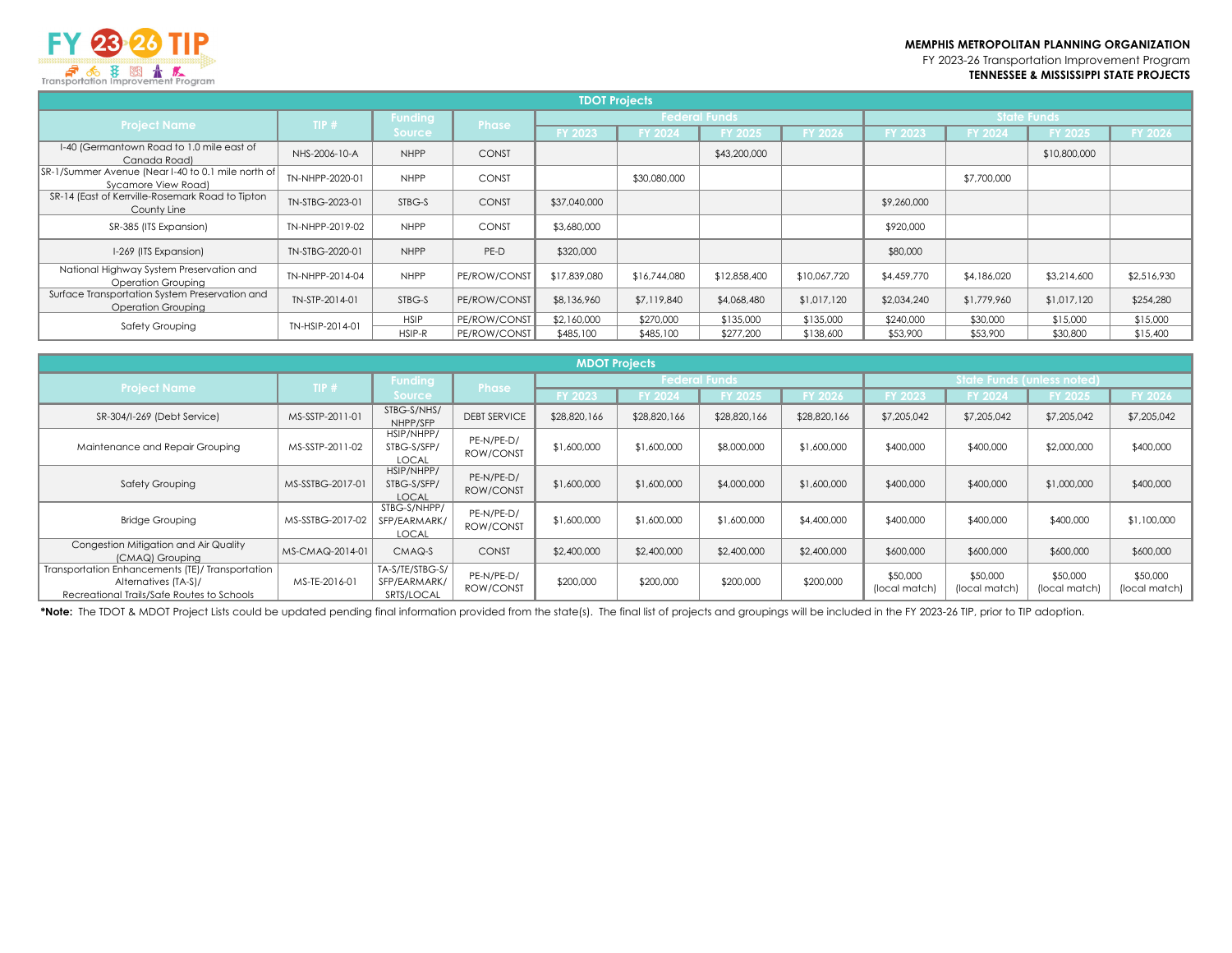FY 2023-26 Transportation Improvement Program **TENNESSEE & MISSISSIPPI STATE PROJECTS**



| <u>i unsponunci i improveniem i rogrum</u>                                |                 |                |              |                |                |                      |                |                |                    |                |             |
|---------------------------------------------------------------------------|-----------------|----------------|--------------|----------------|----------------|----------------------|----------------|----------------|--------------------|----------------|-------------|
| <b>TDOT Projects</b>                                                      |                 |                |              |                |                |                      |                |                |                    |                |             |
| <b>Project Name</b>                                                       | TIP#            | <b>Funding</b> | <b>Phase</b> |                |                | <b>Federal Funds</b> |                |                | <b>State Funds</b> |                |             |
|                                                                           |                 | <b>Source</b>  |              | <b>FY 2023</b> | <b>FY 2024</b> | <b>FY 2025</b>       | <b>FY 2026</b> | <b>FY 2023</b> | <b>FY 2024</b>     | <b>FY 2025</b> | FY 2026     |
| I-40 (Germantown Road to 1.0 mile east of<br>Canada Road)                 | NHS-2006-10-A   | <b>NHPP</b>    | <b>CONST</b> |                |                | \$43,200,000         |                |                |                    | \$10,800,000   |             |
| SR-1/Summer Avenue (Near I-40 to 0.1 mile north of<br>Sycamore View Road) | TN-NHPP-2020-01 | <b>NHPP</b>    | <b>CONST</b> |                | \$30,080,000   |                      |                |                | \$7,700,000        |                |             |
| SR-14 (East of Kerrville-Rosemark Road to Tipton<br>County Line           | TN-STBG-2023-01 | STBG-S         | <b>CONST</b> | \$37,040,000   |                |                      |                | \$9,260,000    |                    |                |             |
| SR-385 (ITS Expansion)                                                    | TN-NHPP-2019-02 | <b>NHPP</b>    | <b>CONST</b> | \$3,680,000    |                |                      |                | \$920,000      |                    |                |             |
| I-269 (ITS Expansion)                                                     | TN-STBG-2020-01 | <b>NHPP</b>    | PE-D         | \$320,000      |                |                      |                | \$80,000       |                    |                |             |
| National Highway System Preservation and<br>Operation Groupina            | TN-NHPP-2014-04 | <b>NHPP</b>    | PE/ROW/CONST | \$17,839,080   | \$16,744,080   | \$12,858,400         | \$10,067,720   | \$4,459,770    | \$4,186,020        | \$3,214,600    | \$2,516,930 |
| Surface Transportation System Preservation and<br>Operation Grouping      | TN-STP-2014-01  | STBG-S         | PE/ROW/CONST | \$8,136,960    | \$7,119,840    | \$4,068,480          | \$1,017,120    | \$2,034,240    | \$1,779,960        | \$1,017,120    | \$254,280   |
| Safety Grouping                                                           | TN-HSIP-2014-01 | <b>HSIP</b>    | PE/ROW/CONST | \$2,160,000    | \$270,000      | \$135,000            | \$135,000      | \$240,000      | \$30,000           | \$15,000       | \$15,000    |
|                                                                           |                 | HSIP-R         | PE/ROW/CONST | \$485,100      | \$485,100      | \$277,200            | \$138,600      | \$53,900       | \$53,900           | \$30,800       | \$15,400    |

| <b>MDOT Projects</b>                                                                                                   |                  |                                               |                         |                      |              |                |                            |                           |                           |                           |                           |
|------------------------------------------------------------------------------------------------------------------------|------------------|-----------------------------------------------|-------------------------|----------------------|--------------|----------------|----------------------------|---------------------------|---------------------------|---------------------------|---------------------------|
| <b>Project Name</b>                                                                                                    | TIP#             | Funding                                       | Phase                   | <b>Federal Funds</b> |              |                | State Funds (unless noted) |                           |                           |                           |                           |
|                                                                                                                        |                  | <b>Source</b>                                 |                         | FY 2023              | FY 2024      | <b>FY 2025</b> | FY 2026                    | <b>FY 2023</b>            | FY 2024                   | <b>FY 2025</b>            | <b>FY 2026</b>            |
| SR-304/I-269 (Debt Service)                                                                                            | MS-SSTP-2011-01  | STBG-S/NHS/<br>NHPP/SFP                       | <b>DEBT SERVICE</b>     | \$28,820,166         | \$28,820,166 | \$28,820,166   | \$28,820,166               | \$7,205,042               | \$7,205,042               | \$7,205,042               | \$7,205,042               |
| Maintenance and Repair Grouping                                                                                        | MS-SSTP-2011-02  | HSIP/NHPP/<br>STBG-S/SFP/<br><b>LOCAL</b>     | PE-N/PE-D/<br>ROW/CONST | \$1,600,000          | \$1,600,000  | \$8,000,000    | \$1,600,000                | \$400,000                 | \$400,000                 | \$2,000,000               | \$400,000                 |
| <b>Safety Grouping</b>                                                                                                 | MS-SSTBG-2017-01 | HSIP/NHPP/<br>STBG-S/SFP/<br><b>LOCAL</b>     | PE-N/PE-D/<br>ROW/CONST | \$1,600,000          | \$1,600,000  | \$4,000,000    | \$1,600,000                | \$400,000                 | \$400,000                 | \$1,000,000               | \$400,000                 |
| <b>Bridge Grouping</b>                                                                                                 | MS-SSTBG-2017-02 | STBG-S/NHPP/<br>SFP/EARMARK/<br><b>LOCAL</b>  | PE-N/PE-D/<br>ROW/CONST | \$1,600,000          | \$1,600,000  | \$1,600,000    | \$4,400,000                | \$400,000                 | \$400,000                 | \$400,000                 | \$1,100,000               |
| Congestion Mitigation and Air Quality<br>(CMAQ) Grouping                                                               | MS-CMAQ-2014-01  | CMAQ-S                                        | <b>CONST</b>            | \$2,400,000          | \$2,400,000  | \$2,400,000    | \$2,400,000                | \$600,000                 | \$600,000                 | \$600,000                 | \$600,000                 |
| Transportation Enhancements (TE)/ Transportation<br>Alternatives (TA-S)/<br>Recreational Trails/Safe Routes to Schools | MS-TE-2016-01    | TA-S/TE/STBG-S/<br>SFP/EARMARK/<br>SRTS/LOCAL | PE-N/PE-D/<br>ROW/CONST | \$200,000            | \$200,000    | \$200,000      | \$200,000                  | \$50,000<br>(local match) | \$50,000<br>(local match) | \$50,000<br>(local match) | \$50,000<br>(local match) |

\*Note: The TDOT & MDOT Project Lists could be updated pending final information provided from the state(s). The final list of projects and groupings will be included in the FY 2023-26 TIP, prior to TIP adoption.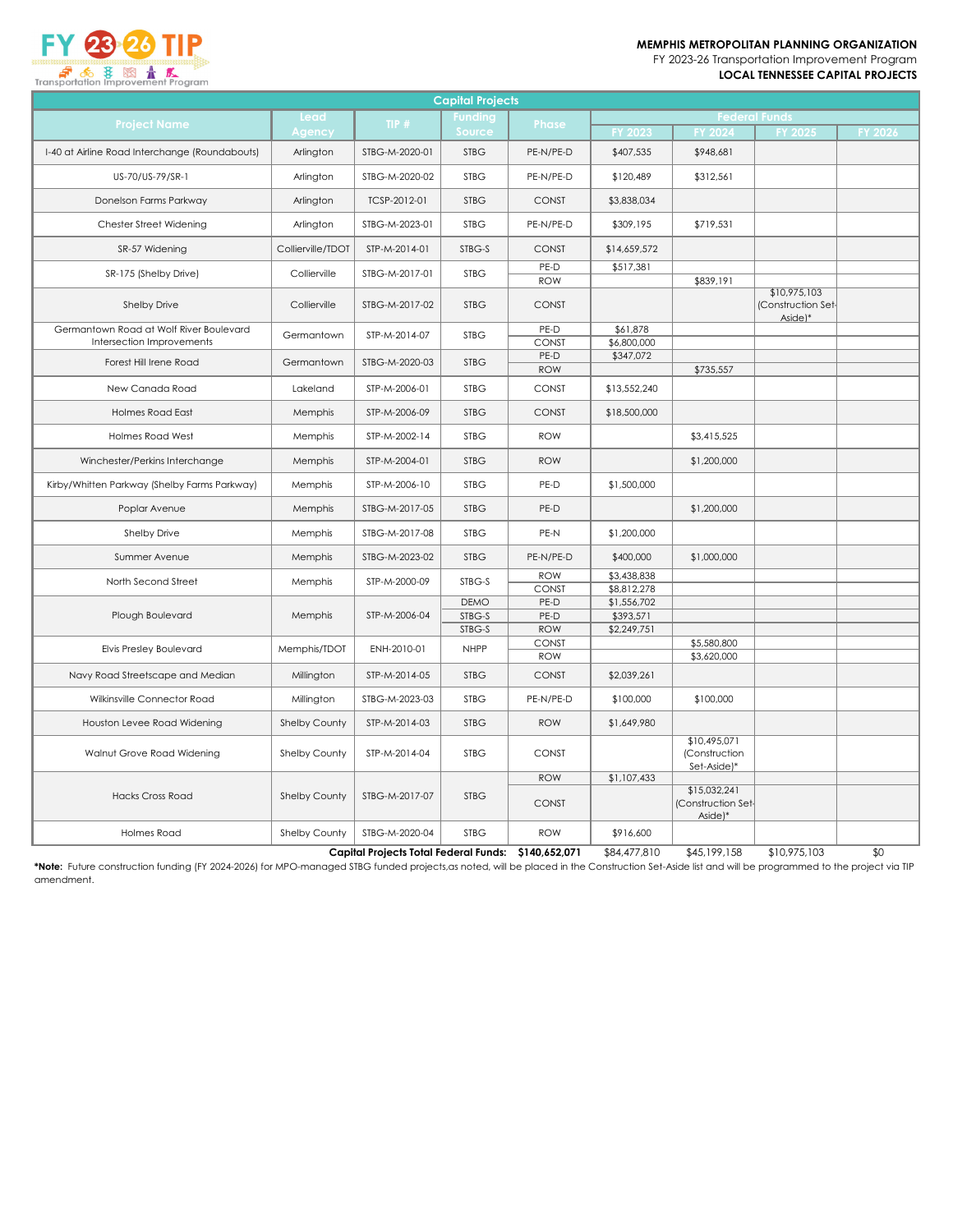

FY 2023-26 Transportation Improvement Program **LOCAL TENNESSEE CAPITAL PROJECTS**



| <b>Capital Projects</b>                        |                   |                                              |                |                            |                            |                                               |                                               |                 |
|------------------------------------------------|-------------------|----------------------------------------------|----------------|----------------------------|----------------------------|-----------------------------------------------|-----------------------------------------------|-----------------|
| <b>Project Name</b>                            | Lead              | TIP#                                         | <b>Funding</b> | <b>Phase</b>               |                            | <b>Federal Funds</b>                          |                                               |                 |
|                                                | Agency            |                                              | Source         |                            | <b>FY 2023</b>             | <b>FY 2024</b>                                | FY 2025                                       | FY 2026         |
| I-40 at Airline Road Interchange (Roundabouts) | Arlington         | STBG-M-2020-01                               | <b>STBG</b>    | PE-N/PE-D                  | \$407,535                  | \$948,681                                     |                                               |                 |
| US-70/US-79/SR-1                               | Arlington         | STBG-M-2020-02                               | <b>STBG</b>    | PE-N/PE-D                  | \$120,489                  | \$312,561                                     |                                               |                 |
| Donelson Farms Parkway                         | Arlington         | TCSP-2012-01                                 | <b>STBG</b>    | <b>CONST</b>               | \$3,838,034                |                                               |                                               |                 |
| Chester Street Widening                        | Arlington         | STBG-M-2023-01                               | <b>STBG</b>    | PE-N/PE-D                  | \$309,195                  | \$719,531                                     |                                               |                 |
| SR-57 Widening                                 | Collierville/TDOT | STP-M-2014-01                                | STBG-S         | <b>CONST</b>               | \$14,659,572               |                                               |                                               |                 |
| SR-175 (Shelby Drive)                          | Collierville      | STBG-M-2017-01                               | <b>STBG</b>    | PE-D<br><b>ROW</b>         | \$517,381                  | \$839,191                                     |                                               |                 |
| <b>Shelby Drive</b>                            | Collierville      | STBG-M-2017-02                               | <b>STBG</b>    | <b>CONST</b>               |                            |                                               | \$10,975,103<br>(Construction Set-<br>Aside)* |                 |
| Germantown Road at Wolf River Boulevard        | Germantown        | STP-M-2014-07                                | <b>STBG</b>    | PE-D                       | \$61,878                   |                                               |                                               |                 |
| Intersection Improvements                      |                   |                                              |                | <b>CONST</b>               | \$6,800,000                |                                               |                                               |                 |
| Forest Hill Irene Road                         | Germantown        | STBG-M-2020-03                               | <b>STBG</b>    | PE-D<br><b>ROW</b>         | \$347,072                  | \$735,557                                     |                                               |                 |
| New Canada Road                                | Lakeland          | STP-M-2006-01                                | <b>STBG</b>    | <b>CONST</b>               | \$13,552,240               |                                               |                                               |                 |
| <b>Holmes Road East</b>                        | Memphis           | STP-M-2006-09                                | <b>STBG</b>    | <b>CONST</b>               | \$18,500,000               |                                               |                                               |                 |
| <b>Holmes Road West</b>                        | Memphis           | STP-M-2002-14                                | <b>STBG</b>    | <b>ROW</b>                 |                            | \$3,415,525                                   |                                               |                 |
| Winchester/Perkins Interchange                 | Memphis           | STP-M-2004-01                                | <b>STBG</b>    | <b>ROW</b>                 |                            | \$1,200,000                                   |                                               |                 |
| Kirby/Whitten Parkway (Shelby Farms Parkway)   | Memphis           | STP-M-2006-10                                | <b>STBG</b>    | PE-D                       | \$1,500,000                |                                               |                                               |                 |
| Poplar Avenue                                  | Memphis           | STBG-M-2017-05                               | <b>STBG</b>    | PE-D                       |                            | \$1,200,000                                   |                                               |                 |
| Shelby Drive                                   | Memphis           | STBG-M-2017-08                               | <b>STBG</b>    | PE-N                       | \$1,200,000                |                                               |                                               |                 |
| Summer Avenue                                  | Memphis           | STBG-M-2023-02                               | <b>STBG</b>    | PE-N/PE-D                  | \$400,000                  | \$1,000,000                                   |                                               |                 |
| North Second Street                            | Memphis           | STP-M-2000-09                                | STBG-S         | <b>ROW</b>                 | \$3,438,838                |                                               |                                               |                 |
|                                                |                   |                                              | <b>DEMO</b>    | <b>CONST</b><br>PE-D       | \$8,812,278<br>\$1,556,702 |                                               |                                               |                 |
| Plough Boulevard                               | Memphis           | STP-M-2006-04                                | STBG-S         | PE-D                       | \$393,571                  |                                               |                                               |                 |
|                                                |                   |                                              | STBG-S         | <b>ROW</b>                 | \$2,249,751                |                                               |                                               |                 |
| <b>Elvis Presley Boulevard</b>                 | Memphis/TDOT      | ENH-2010-01                                  | <b>NHPP</b>    | CONST                      |                            | \$5,580,800                                   |                                               |                 |
| Navy Road Streetscape and Median               | Millington        | STP-M-2014-05                                | <b>STBG</b>    | <b>ROW</b><br><b>CONST</b> | \$2,039,261                | \$3,620,000                                   |                                               |                 |
| Wilkinsville Connector Road                    | Millington        | STBG-M-2023-03                               | <b>STBG</b>    | PE-N/PE-D                  | \$100,000                  | \$100,000                                     |                                               |                 |
| Houston Levee Road Widening                    | Shelby County     | STP-M-2014-03                                | <b>STBG</b>    | <b>ROW</b>                 | \$1,649,980                |                                               |                                               |                 |
| Walnut Grove Road Widening                     | Shelby County     | STP-M-2014-04                                | <b>STBG</b>    | CONST                      |                            | \$10,495,071<br>(Construction<br>Set-Aside)*  |                                               |                 |
|                                                |                   |                                              |                | <b>ROW</b>                 | \$1,107,433                |                                               |                                               |                 |
| <b>Hacks Cross Road</b>                        | Shelby County     | STBG-M-2017-07                               | <b>STBG</b>    | <b>CONST</b>               |                            | \$15,032,241<br>(Construction Set-<br>Aside)* |                                               |                 |
| <b>Holmes Road</b>                             | Shelby County     | STBG-M-2020-04                               | <b>STBG</b>    | <b>ROW</b>                 | \$916,600                  |                                               |                                               |                 |
|                                                |                   | <b>Capital Projects Total Federal Funds:</b> |                | \$140,652,071              | \$84,477,810               | \$45,199,158                                  | \$10,975,103                                  | $\overline{30}$ |

**\*Note:** Future construction funding (FY 2024-2026) for MPO-managed STBG funded projects,as noted, will be placed in the Construction Set-Aside list and will be programmed to the project via TIP amendment.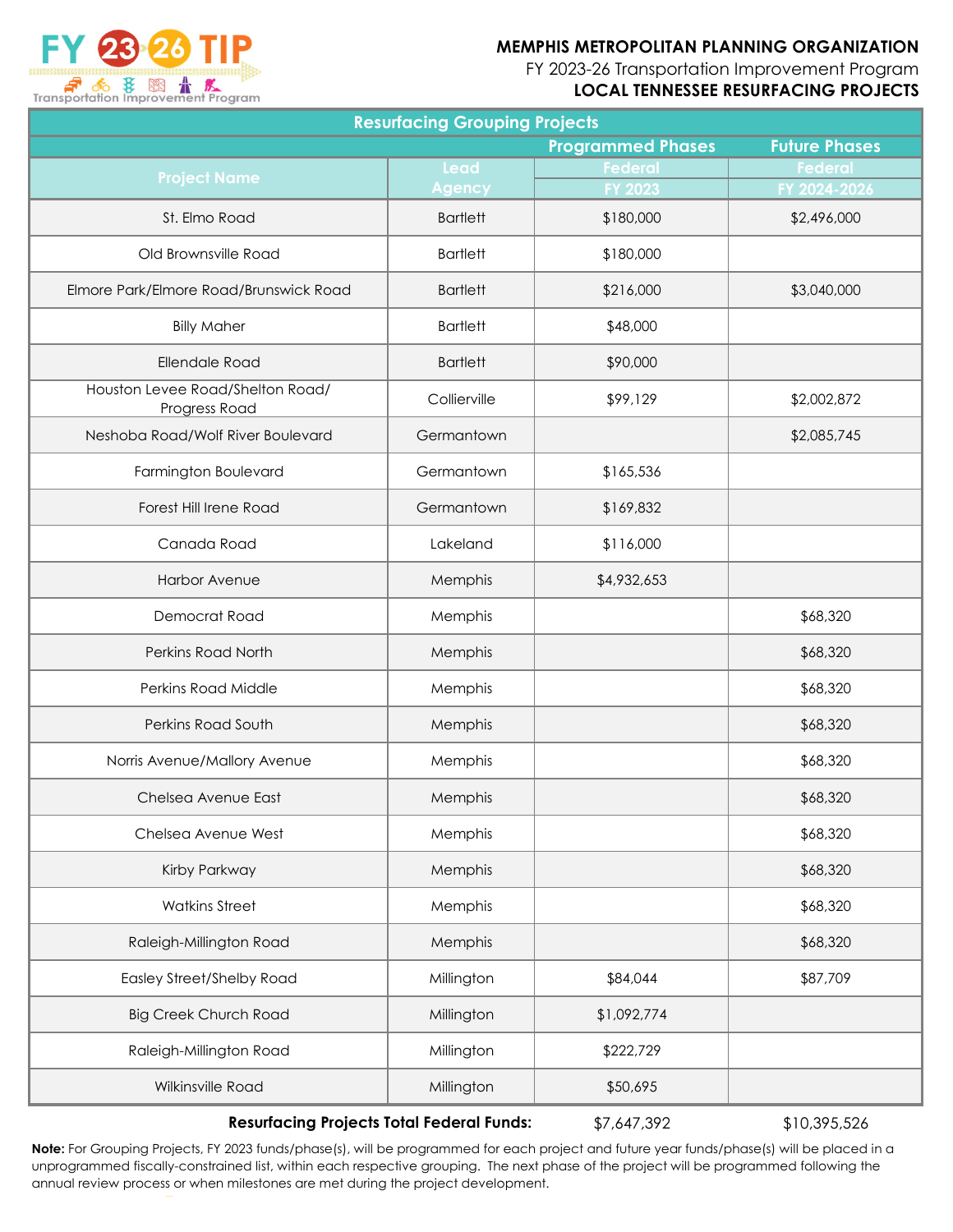FY 2023-26 Transportation Improvement Program

#### **LOCAL TENNESSEE RESURFACING PROJECTS**

| <b>Resurfacing Grouping Projects</b>              |                 |                          |                      |  |  |  |
|---------------------------------------------------|-----------------|--------------------------|----------------------|--|--|--|
|                                                   |                 | <b>Programmed Phases</b> | <b>Future Phases</b> |  |  |  |
| <b>Project Name</b>                               | Lead            | <b>Federal</b>           | <b>Federal</b>       |  |  |  |
|                                                   | <b>Agency</b>   | FY 2023                  | FY 2024-2026         |  |  |  |
| St. Elmo Road                                     | <b>Bartlett</b> | \$180,000                | \$2,496,000          |  |  |  |
| Old Brownsville Road                              | <b>Bartlett</b> | \$180,000                |                      |  |  |  |
| Elmore Park/Elmore Road/Brunswick Road            | <b>Bartlett</b> | \$216,000                | \$3,040,000          |  |  |  |
| <b>Billy Maher</b>                                | <b>Bartlett</b> | \$48,000                 |                      |  |  |  |
| <b>Ellendale Road</b>                             | <b>Bartlett</b> | \$90,000                 |                      |  |  |  |
| Houston Levee Road/Shelton Road/<br>Progress Road | Collierville    | \$99,129                 | \$2,002,872          |  |  |  |
| Neshoba Road/Wolf River Boulevard                 | Germantown      |                          | \$2,085,745          |  |  |  |
| Farmington Boulevard                              | Germantown      | \$165,536                |                      |  |  |  |
| Forest Hill Irene Road                            | Germantown      | \$169,832                |                      |  |  |  |
| Canada Road                                       | Lakeland        | \$116,000                |                      |  |  |  |
| Harbor Avenue                                     | Memphis         | \$4,932,653              |                      |  |  |  |
| Democrat Road                                     | Memphis         |                          | \$68,320             |  |  |  |
| Perkins Road North                                | Memphis         |                          | \$68,320             |  |  |  |
| Perkins Road Middle                               | Memphis         |                          | \$68,320             |  |  |  |
| Perkins Road South                                | Memphis         |                          | \$68,320             |  |  |  |
| Norris Avenue/Mallory Avenue                      | Memphis         |                          | \$68,320             |  |  |  |
| Chelsea Avenue East                               | Memphis         |                          | \$68,320             |  |  |  |
| Chelsea Avenue West                               | Memphis         |                          | \$68,320             |  |  |  |
| Kirby Parkway                                     | Memphis         |                          | \$68,320             |  |  |  |
| <b>Watkins Street</b>                             | Memphis         |                          | \$68,320             |  |  |  |
| Raleigh-Millington Road                           | Memphis         |                          | \$68,320             |  |  |  |
| <b>Easley Street/Shelby Road</b>                  | Millington      | \$84,044                 | \$87,709             |  |  |  |
| <b>Big Creek Church Road</b>                      | Millington      | \$1,092,774              |                      |  |  |  |
| Raleigh-Millington Road                           | Millington      | \$222,729                |                      |  |  |  |
| Wilkinsville Road                                 | Millington      | \$50,695                 |                      |  |  |  |
|                                                   |                 |                          |                      |  |  |  |

**Resurfacing Projects Total Federal Funds:**

\$7,647,392 \$10,395,526

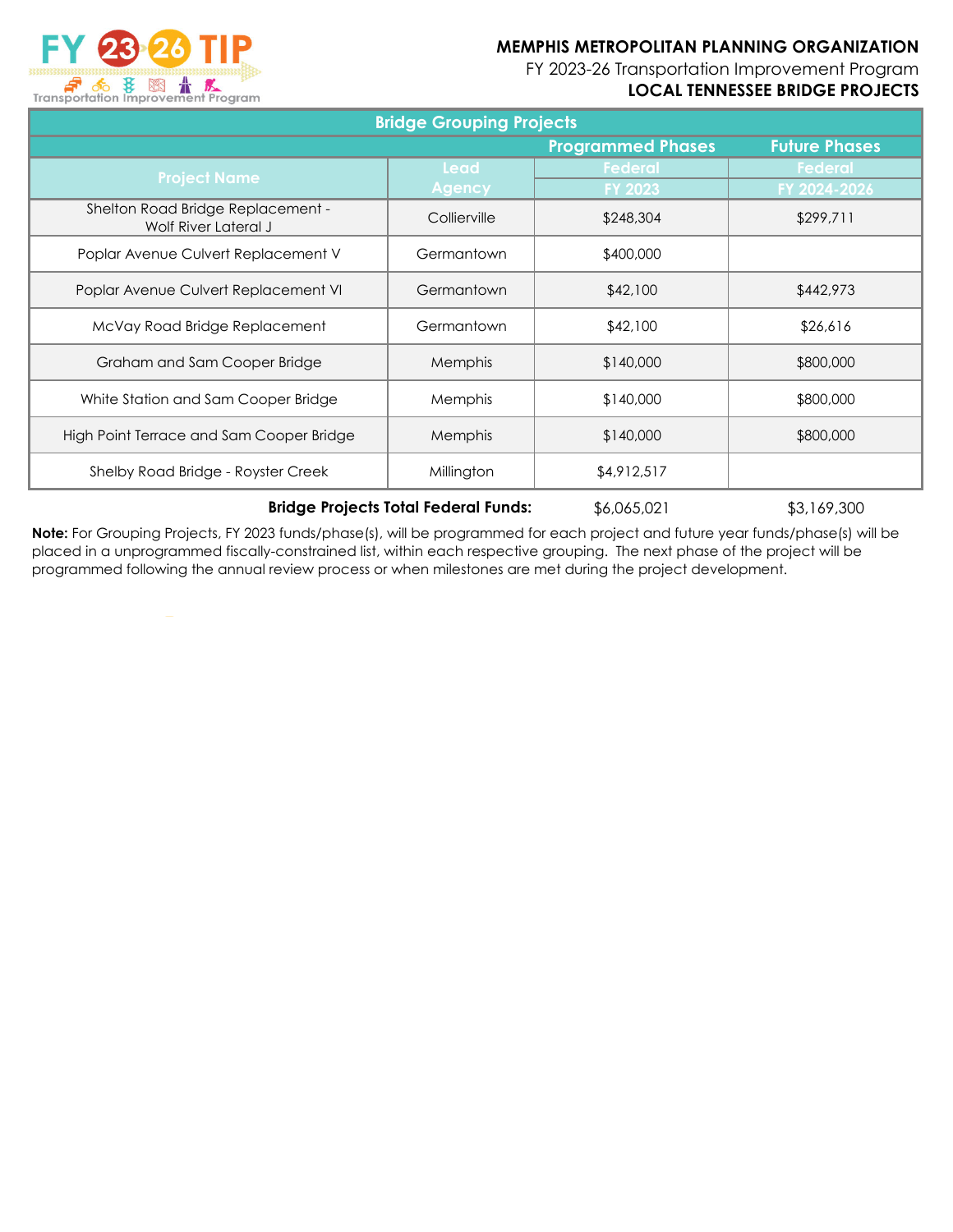FY 2023-26 Transportation Improvement Program

# **LOCAL TENNESSEE BRIDGE PROJECTS**

| <b>Transportation Improvement Program</b> |  |
|-------------------------------------------|--|

| <b>Bridge Grouping Projects</b>                           |                |                          |                      |  |  |
|-----------------------------------------------------------|----------------|--------------------------|----------------------|--|--|
|                                                           |                | <b>Programmed Phases</b> | <b>Future Phases</b> |  |  |
| <b>Project Name</b>                                       | Lead           | Federal                  | Federal              |  |  |
|                                                           | <b>Agency</b>  | <b>FY 2023</b>           | FY 2024-2026         |  |  |
| Shelton Road Bridge Replacement -<br>Wolf River Lateral J | Collierville   | \$248,304                | \$299,711            |  |  |
| Poplar Avenue Culvert Replacement V                       | Germantown     | \$400,000                |                      |  |  |
| Poplar Avenue Culvert Replacement VI                      | Germantown     | \$42,100                 | \$442,973            |  |  |
| McVay Road Bridge Replacement                             | Germantown     | \$42,100                 | \$26,616             |  |  |
| Graham and Sam Cooper Bridge                              | Memphis        | \$140,000                | \$800,000            |  |  |
| White Station and Sam Cooper Bridge                       | <b>Memphis</b> | \$140,000                | \$800,000            |  |  |
| High Point Terrace and Sam Cooper Bridge                  | Memphis        | \$140,000                | \$800,000            |  |  |
| Shelby Road Bridge - Royster Creek                        | Millington     | \$4,912,517              |                      |  |  |

**Bridge Projects Total Federal Funds:**

\$6,065,021 \$3,169,300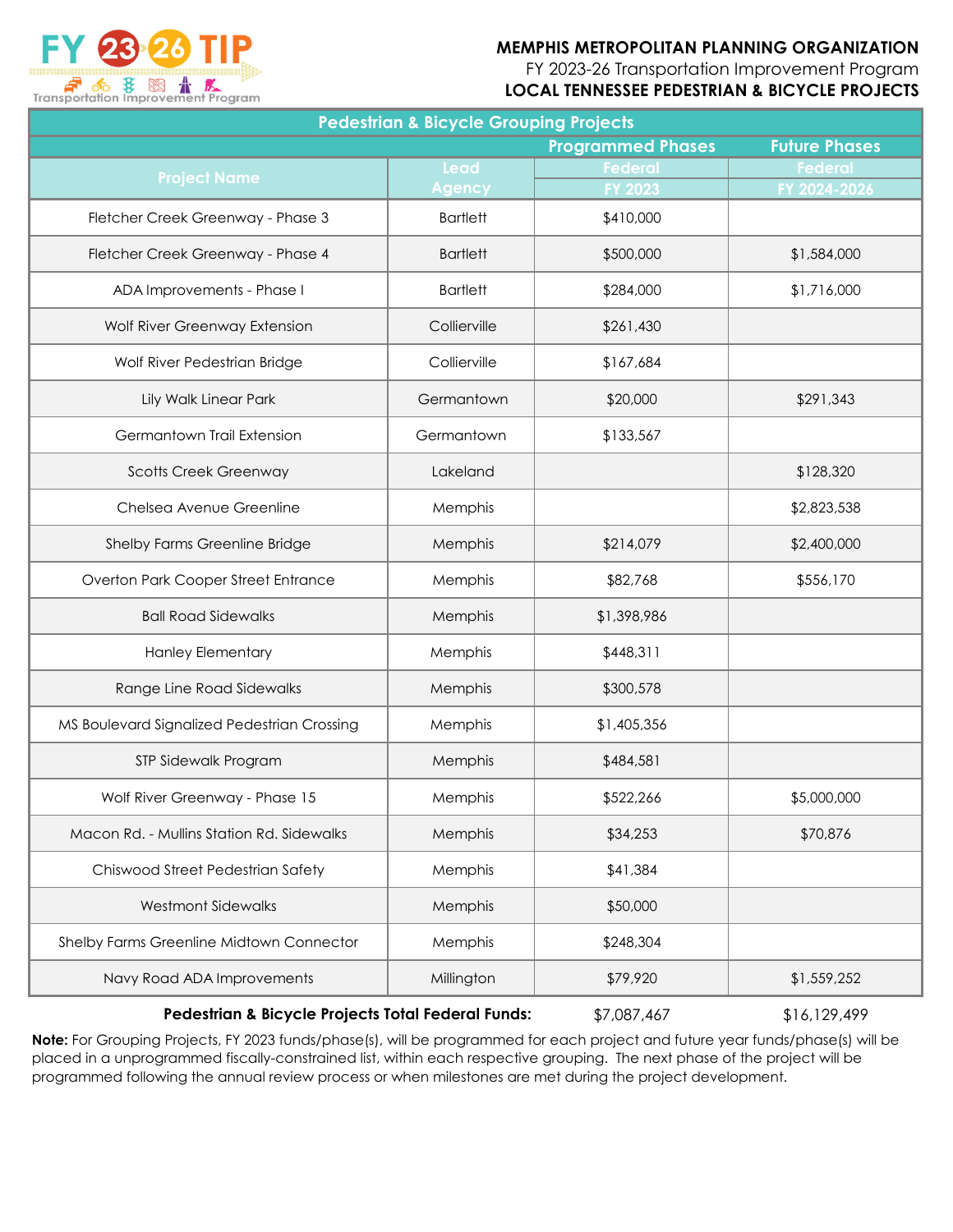

FY 2023-26 Transportation Improvement Program

**LOCAL TENNESSEE PEDESTRIAN & BICYCLE PROJECTS**

| <b>Pedestrian &amp; Bicycle Grouping Projects</b> |                 |                          |                      |  |  |  |  |
|---------------------------------------------------|-----------------|--------------------------|----------------------|--|--|--|--|
|                                                   |                 | <b>Programmed Phases</b> | <b>Future Phases</b> |  |  |  |  |
| <b>Project Name</b>                               | <b>Lead</b>     | <b>Federal</b>           | <b>Federal</b>       |  |  |  |  |
|                                                   | <b>Agency</b>   | FY 2023                  | FY 2024-2026         |  |  |  |  |
| Fletcher Creek Greenway - Phase 3                 | <b>Bartlett</b> | \$410,000                |                      |  |  |  |  |
| Fletcher Creek Greenway - Phase 4                 | <b>Bartlett</b> | \$500,000                | \$1,584,000          |  |  |  |  |
| ADA Improvements - Phase I                        | <b>Bartlett</b> | \$284,000                | \$1,716,000          |  |  |  |  |
| Wolf River Greenway Extension                     | Collierville    | \$261,430                |                      |  |  |  |  |
| Wolf River Pedestrian Bridge                      | Collierville    | \$167,684                |                      |  |  |  |  |
| Lily Walk Linear Park                             | Germantown      | \$20,000                 | \$291,343            |  |  |  |  |
| Germantown Trail Extension                        | Germantown      | \$133,567                |                      |  |  |  |  |
| <b>Scotts Creek Greenway</b>                      | Lakeland        |                          | \$128,320            |  |  |  |  |
| Chelsea Avenue Greenline                          | Memphis         |                          | \$2,823,538          |  |  |  |  |
| Shelby Farms Greenline Bridge                     | Memphis         | \$214,079                | \$2,400,000          |  |  |  |  |
| Overton Park Cooper Street Entrance               | Memphis         | \$82,768                 | \$556,170            |  |  |  |  |
| <b>Ball Road Sidewalks</b>                        | Memphis         | \$1,398,986              |                      |  |  |  |  |
| <b>Hanley Elementary</b>                          | Memphis         | \$448,311                |                      |  |  |  |  |
| Range Line Road Sidewalks                         | Memphis         | \$300,578                |                      |  |  |  |  |
| MS Boulevard Signalized Pedestrian Crossing       | Memphis         | \$1,405,356              |                      |  |  |  |  |
| STP Sidewalk Program                              | Memphis         | \$484,581                |                      |  |  |  |  |
| Wolf River Greenway - Phase 15                    | Memphis         | \$522,266                | \$5,000,000          |  |  |  |  |
| Macon Rd. - Mullins Station Rd. Sidewalks         | Memphis         | \$34,253                 | \$70,876             |  |  |  |  |
| Chiswood Street Pedestrian Safety                 | Memphis         | \$41,384                 |                      |  |  |  |  |
| <b>Westmont Sidewalks</b>                         | Memphis         | \$50,000                 |                      |  |  |  |  |
| Shelby Farms Greenline Midtown Connector          | Memphis         | \$248,304                |                      |  |  |  |  |
| Navy Road ADA Improvements                        | Millington      | \$79,920                 | \$1,559,252          |  |  |  |  |

#### **Pedestrian & Bicycle Projects Total Federal Funds:**

\$7,087,467 \$16,129,499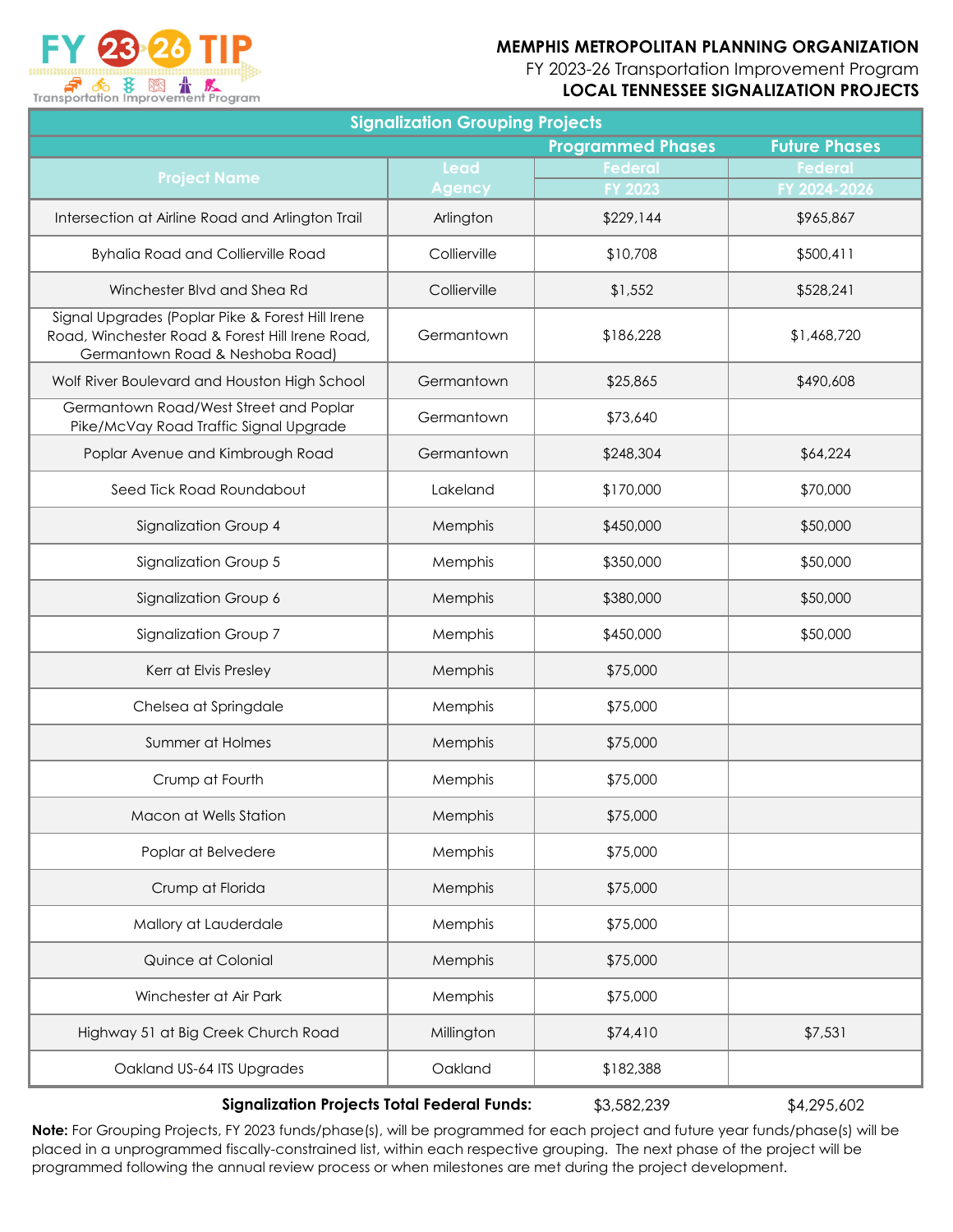FY 2023-26 Transportation Improvement Program

#### **LOCAL TENNESSEE SIGNALIZATION PROJECTS**

| <b>Signalization Grouping Projects</b>                                                                                                 |               |                          |                      |  |  |  |
|----------------------------------------------------------------------------------------------------------------------------------------|---------------|--------------------------|----------------------|--|--|--|
|                                                                                                                                        |               | <b>Programmed Phases</b> | <b>Future Phases</b> |  |  |  |
| <b>Project Name</b>                                                                                                                    | Lead          | <b>Federal</b>           | <b>Federal</b>       |  |  |  |
|                                                                                                                                        | <b>Agency</b> | FY 2023                  | FY 2024-2026         |  |  |  |
| Intersection at Airline Road and Arlington Trail                                                                                       | Arlington     | \$229,144                | \$965,867            |  |  |  |
| <b>Byhalia Road and Collierville Road</b>                                                                                              | Collierville  | \$10,708                 | \$500,411            |  |  |  |
| Winchester Blvd and Shea Rd                                                                                                            | Collierville  | \$1,552                  | \$528,241            |  |  |  |
| Signal Upgrades (Poplar Pike & Forest Hill Irene<br>Road, Winchester Road & Forest Hill Irene Road,<br>Germantown Road & Neshoba Road) | Germantown    | \$186,228                | \$1,468,720          |  |  |  |
| Wolf River Boulevard and Houston High School                                                                                           | Germantown    | \$25,865                 | \$490,608            |  |  |  |
| Germantown Road/West Street and Poplar<br>Pike/McVay Road Traffic Signal Upgrade                                                       | Germantown    | \$73,640                 |                      |  |  |  |
| Poplar Avenue and Kimbrough Road                                                                                                       | Germantown    | \$248,304                | \$64,224             |  |  |  |
| Seed Tick Road Roundabout                                                                                                              | Lakeland      | \$170,000                | \$70,000             |  |  |  |
| Signalization Group 4                                                                                                                  | Memphis       | \$450,000                | \$50,000             |  |  |  |
| Signalization Group 5                                                                                                                  | Memphis       | \$350,000                | \$50,000             |  |  |  |
| Signalization Group 6                                                                                                                  | Memphis       | \$380,000                | \$50,000             |  |  |  |
| Signalization Group 7                                                                                                                  | Memphis       | \$450,000                | \$50,000             |  |  |  |
| Kerr at Elvis Presley                                                                                                                  | Memphis       | \$75,000                 |                      |  |  |  |
| Chelsea at Springdale                                                                                                                  | Memphis       | \$75,000                 |                      |  |  |  |
| Summer at Holmes                                                                                                                       | Memphis       | \$75,000                 |                      |  |  |  |
| Crump at Fourth                                                                                                                        | Memphis       | \$75,000                 |                      |  |  |  |
| Macon at Wells Station                                                                                                                 | Memphis       | \$75,000                 |                      |  |  |  |
| Poplar at Belvedere                                                                                                                    | Memphis       | \$75,000                 |                      |  |  |  |
| Crump at Florida                                                                                                                       | Memphis       | \$75,000                 |                      |  |  |  |
| Mallory at Lauderdale                                                                                                                  | Memphis       | \$75,000                 |                      |  |  |  |
| Quince at Colonial                                                                                                                     | Memphis       | \$75,000                 |                      |  |  |  |
| Winchester at Air Park                                                                                                                 | Memphis       | \$75,000                 |                      |  |  |  |
| Highway 51 at Big Creek Church Road                                                                                                    | Millington    | \$74,410                 | \$7,531              |  |  |  |
| Oakland US-64 ITS Upgrades                                                                                                             | Oakland       | \$182,388                |                      |  |  |  |
|                                                                                                                                        |               |                          |                      |  |  |  |

**Signalization Projects Total Federal Funds:**

\$3,582,239 \$4,295,602

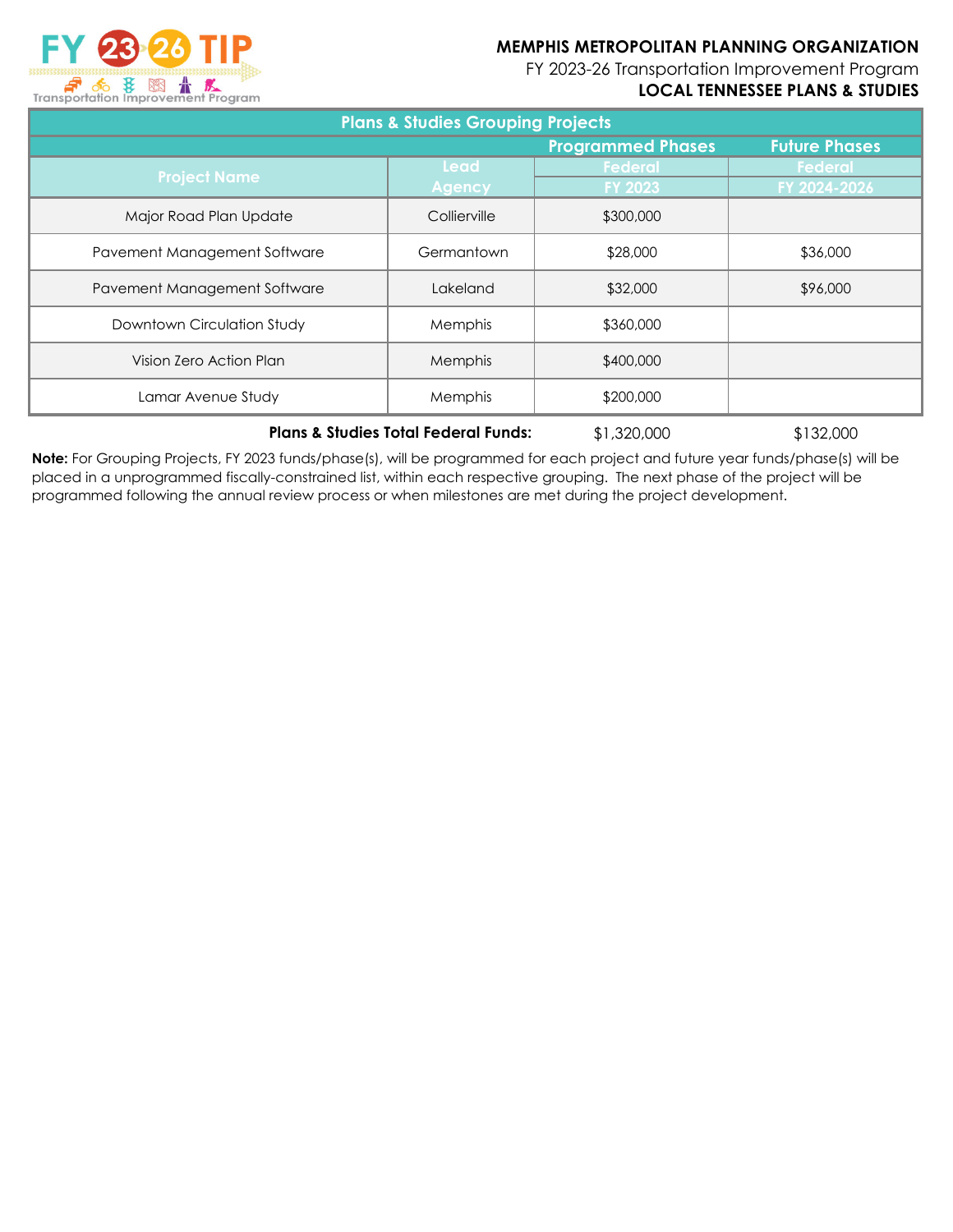FY 2023-26 Transportation Improvement Program

## **LOCAL TENNESSEE PLANS & STUDIES**



| <b>Plans &amp; Studies Grouping Projects</b> |                                                  |           |                |  |  |  |  |  |
|----------------------------------------------|--------------------------------------------------|-----------|----------------|--|--|--|--|--|
|                                              | <b>Programmed Phases</b><br><b>Future Phases</b> |           |                |  |  |  |  |  |
| <b>Project Name</b>                          | Lead                                             | Federal   | <b>Federal</b> |  |  |  |  |  |
|                                              | <b>Agency</b>                                    | FY 2023   | FY 2024-2026   |  |  |  |  |  |
| Major Road Plan Update                       | Collierville                                     | \$300,000 |                |  |  |  |  |  |
| Pavement Management Software                 | Germantown                                       | \$28,000  | \$36,000       |  |  |  |  |  |
| Pavement Management Software                 | Lakeland                                         | \$32,000  | \$96,000       |  |  |  |  |  |
| Downtown Circulation Study                   | <b>Memphis</b>                                   | \$360,000 |                |  |  |  |  |  |
| Vision Zero Action Plan                      | Memphis                                          | \$400,000 |                |  |  |  |  |  |
| Lamar Avenue Study                           | Memphis                                          | \$200,000 |                |  |  |  |  |  |

#### **Plans & Studies Total Federal Funds:**

\$1,320,000 \$132,000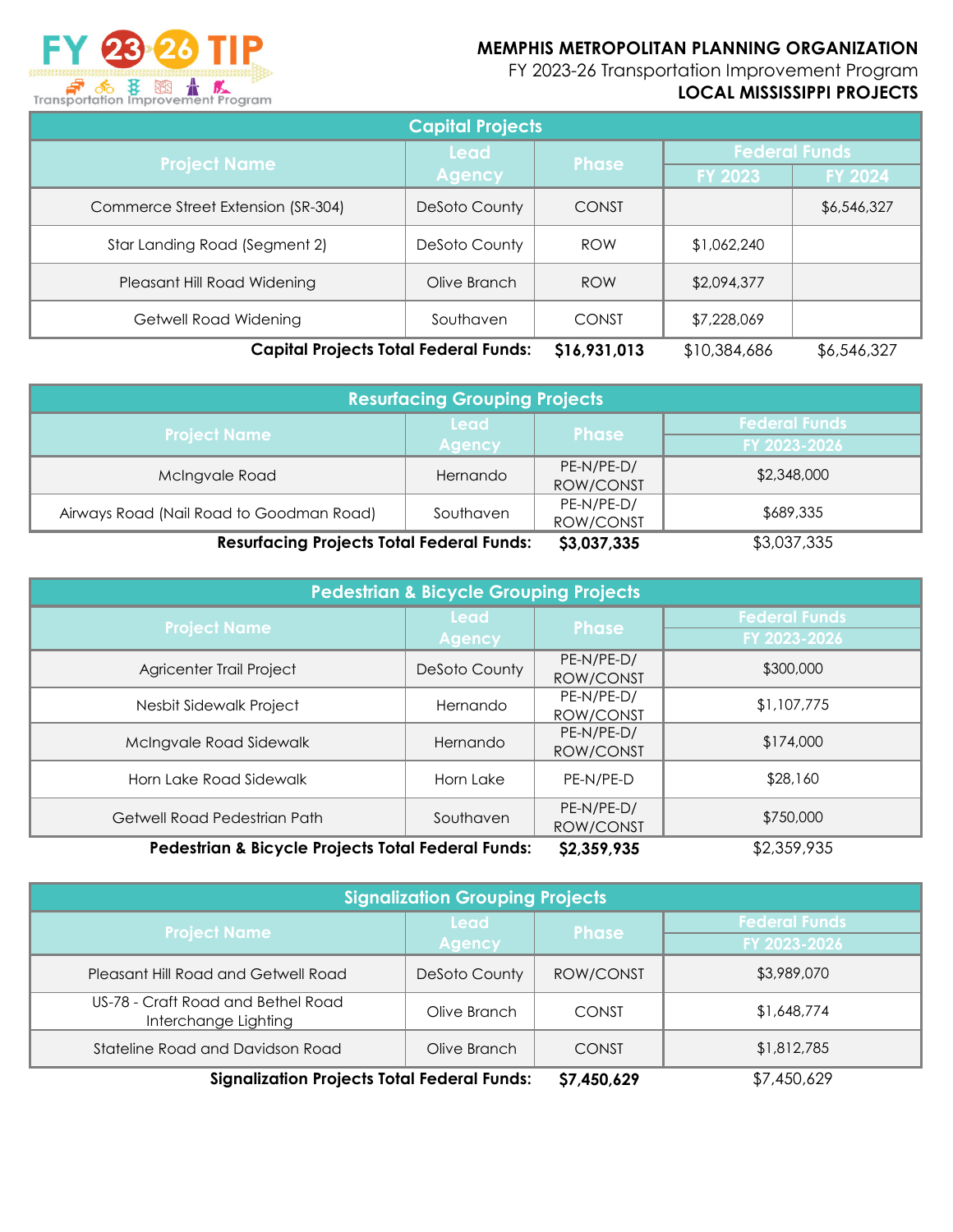

FY 2023-26 Transportation Improvement Program

# **LOCAL MISSISSIPPI PROJECTS**

| <b>Capital Projects</b>                      |               |              |                      |                |  |  |
|----------------------------------------------|---------------|--------------|----------------------|----------------|--|--|
| <b>Project Name</b>                          | <b>Lead</b>   | <b>Phase</b> | <b>Federal Funds</b> |                |  |  |
|                                              | <b>Agency</b> |              | <b>FY 2023</b>       | <b>FY 2024</b> |  |  |
| Commerce Street Extension (SR-304)           | DeSoto County | CONST        |                      | \$6,546,327    |  |  |
| Star Landing Road (Segment 2)                | DeSoto County | <b>ROW</b>   | \$1,062,240          |                |  |  |
| Pleasant Hill Road Widening                  | Olive Branch  | <b>ROW</b>   | \$2,094,377          |                |  |  |
| Getwell Road Widening                        | Southaven     | <b>CONST</b> | \$7,228,069          |                |  |  |
| <b>Capital Projects Total Federal Funds:</b> | \$16,931,013  | \$10,384,686 | \$6,546,327          |                |  |  |

| <b>Resurfacing Grouping Projects</b>             |               |              |                      |  |  |  |
|--------------------------------------------------|---------------|--------------|----------------------|--|--|--|
| <b>Project Name</b>                              | <b>Lead</b>   | <b>Phase</b> | <b>Federal Funds</b> |  |  |  |
|                                                  | <b>Agency</b> |              | FY 2023-2026         |  |  |  |
| McIngvale Road                                   | Hernando      | PE-N/PE-D/   | \$2,348,000          |  |  |  |
|                                                  |               | ROW/CONST    |                      |  |  |  |
|                                                  | Southaven     | PE-N/PE-D/   | \$689,335            |  |  |  |
| Airways Road (Nail Road to Goodman Road)         |               | ROW/CONST    |                      |  |  |  |
| <b>Resurfacing Projects Total Federal Funds:</b> | \$3,037,335   | \$3,037,335  |                      |  |  |  |

| <b>Pedestrian &amp; Bicycle Grouping Projects</b>  |               |              |                      |  |  |  |
|----------------------------------------------------|---------------|--------------|----------------------|--|--|--|
| <b>Project Name</b>                                | <b>Lead</b>   | <b>Phase</b> | <b>Federal Funds</b> |  |  |  |
|                                                    | <b>Agency</b> |              | FY 2023-2026         |  |  |  |
| Agricenter Trail Project                           | DeSoto County | PE-N/PE-D/   | \$300,000            |  |  |  |
|                                                    |               | ROW/CONST    |                      |  |  |  |
| Nesbit Sidewalk Project                            | Hernando      | PE-N/PE-D/   | \$1,107,775          |  |  |  |
|                                                    |               | ROW/CONST    |                      |  |  |  |
| McIngvale Road Sidewalk                            | Hernando      | PE-N/PE-D/   | \$174,000            |  |  |  |
|                                                    |               | ROW/CONST    |                      |  |  |  |
| Horn Lake Road Sidewalk                            | Horn Lake     | PE-N/PE-D    | \$28,160             |  |  |  |
|                                                    |               |              |                      |  |  |  |
| Getwell Road Pedestrian Path                       | Southaven     | PE-N/PE-D/   | \$750,000            |  |  |  |
|                                                    |               | ROW/CONST    |                      |  |  |  |
| Pedestrian & Bicycle Projects Total Federal Funds: | \$2,359,935   | \$2,359,935  |                      |  |  |  |

| <b>Signalization Grouping Projects</b>                     |               |              |                                      |  |  |  |  |  |  |  |
|------------------------------------------------------------|---------------|--------------|--------------------------------------|--|--|--|--|--|--|--|
| <b>Project Name</b>                                        | <b>Lead</b>   | <b>Phase</b> | <b>Federal Funds</b><br>FY 2023-2026 |  |  |  |  |  |  |  |
|                                                            | <b>Agency</b> |              |                                      |  |  |  |  |  |  |  |
| Pleasant Hill Road and Getwell Road                        | DeSoto County | ROW/CONST    | \$3,989,070                          |  |  |  |  |  |  |  |
| US-78 - Craft Road and Bethel Road<br>Interchange Lighting | Olive Branch  | CONST        | \$1,648,774                          |  |  |  |  |  |  |  |
| Stateline Road and Davidson Road                           | Olive Branch  | CONST        | \$1,812,785                          |  |  |  |  |  |  |  |
| <b>Signalization Projects Total Federal Funds:</b>         | \$7,450,629   | \$7,450,629  |                                      |  |  |  |  |  |  |  |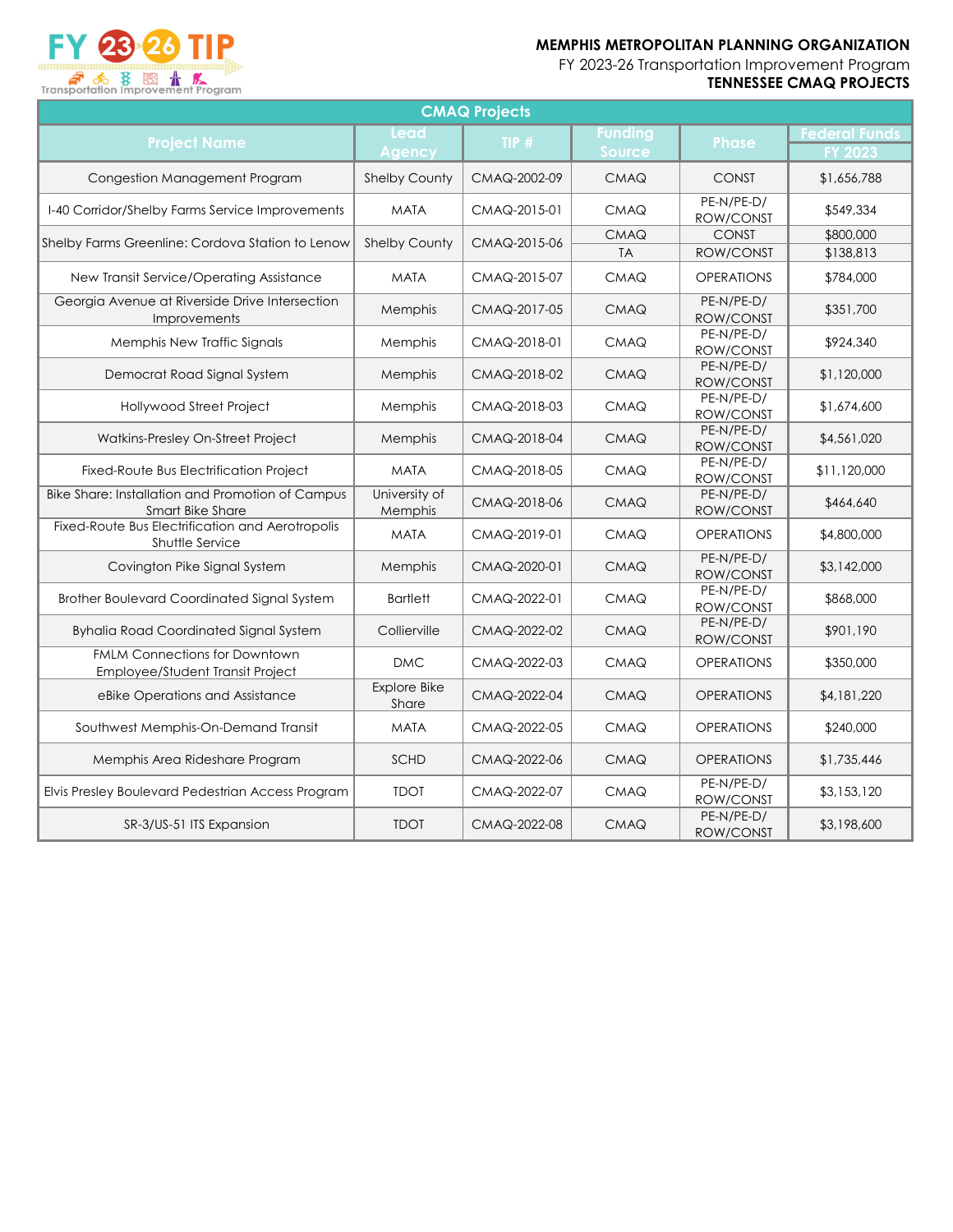FY 23 23 TIP Transportation Improvement Program

FY 2023-26 Transportation Improvement Program **TENNESSEE CMAQ PROJECTS**

| <b>CMAQ Projects</b><br><b>Funding</b>                                      |                              |                      |                              |                         |                |  |  |  |  |  |  |  |
|-----------------------------------------------------------------------------|------------------------------|----------------------|------------------------------|-------------------------|----------------|--|--|--|--|--|--|--|
| <b>Project Name</b>                                                         | <b>Phase</b>                 | <b>Federal Funds</b> |                              |                         |                |  |  |  |  |  |  |  |
|                                                                             | <b>Agency</b>                | CMAQ-2002-09         | <b>Source</b><br><b>CMAQ</b> | <b>CONST</b>            | <b>FY 2023</b> |  |  |  |  |  |  |  |
| Congestion Management Program                                               | <b>Shelby County</b>         |                      |                              |                         | \$1,656,788    |  |  |  |  |  |  |  |
| I-40 Corridor/Shelby Farms Service Improvements                             | <b>MATA</b>                  | CMAQ-2015-01         | <b>CMAQ</b>                  | PE-N/PE-D/<br>ROW/CONST | \$549,334      |  |  |  |  |  |  |  |
| Shelby Farms Greenline: Cordova Station to Lenow                            | <b>Shelby County</b>         | CMAQ-2015-06         | <b>CMAQ</b>                  | <b>CONST</b>            | \$800,000      |  |  |  |  |  |  |  |
|                                                                             |                              |                      | <b>TA</b>                    | ROW/CONST               | \$138,813      |  |  |  |  |  |  |  |
| New Transit Service/Operating Assistance                                    | <b>MATA</b>                  | CMAQ-2015-07         | <b>CMAQ</b>                  | <b>OPERATIONS</b>       | \$784,000      |  |  |  |  |  |  |  |
| Georgia Avenue at Riverside Drive Intersection<br>Improvements              | Memphis                      | CMAQ-2017-05         | <b>CMAQ</b>                  | PE-N/PE-D/<br>ROW/CONST | \$351,700      |  |  |  |  |  |  |  |
| Memphis New Traffic Signals                                                 | Memphis                      | CMAQ-2018-01         | <b>CMAQ</b>                  | PE-N/PE-D/<br>ROW/CONST | \$924,340      |  |  |  |  |  |  |  |
| Democrat Road Signal System                                                 | Memphis                      | CMAQ-2018-02         | <b>CMAQ</b>                  | PE-N/PE-D/<br>ROW/CONST | \$1,120,000    |  |  |  |  |  |  |  |
| <b>Hollywood Street Project</b>                                             | Memphis                      | CMAQ-2018-03         | <b>CMAQ</b>                  | PE-N/PE-D/<br>ROW/CONST | \$1,674,600    |  |  |  |  |  |  |  |
| Watkins-Presley On-Street Project                                           | Memphis                      | CMAQ-2018-04         | <b>CMAQ</b>                  | PE-N/PE-D/<br>ROW/CONST | \$4,561,020    |  |  |  |  |  |  |  |
| Fixed-Route Bus Electrification Project                                     | <b>MATA</b>                  | CMAQ-2018-05         | <b>CMAQ</b>                  | PE-N/PE-D/<br>ROW/CONST | \$11,120,000   |  |  |  |  |  |  |  |
| <b>Bike Share: Installation and Promotion of Campus</b><br>Smart Bike Share | University of<br>Memphis     | CMAQ-2018-06         | <b>CMAQ</b>                  | PE-N/PE-D/<br>ROW/CONST | \$464,640      |  |  |  |  |  |  |  |
| Fixed-Route Bus Electrification and Aerotropolis<br>Shuttle Service         | <b>MATA</b>                  | CMAQ-2019-01         | <b>CMAQ</b>                  | <b>OPERATIONS</b>       | \$4,800,000    |  |  |  |  |  |  |  |
| Covington Pike Signal System                                                | Memphis                      | CMAQ-2020-01         | CMAQ                         | PE-N/PE-D/<br>ROW/CONST | \$3,142,000    |  |  |  |  |  |  |  |
| Brother Boulevard Coordinated Signal System                                 | <b>Bartlett</b>              | CMAQ-2022-01         | <b>CMAQ</b>                  | PE-N/PE-D/<br>ROW/CONST | \$868,000      |  |  |  |  |  |  |  |
| <b>Byhalia Road Coordinated Signal System</b>                               | Collierville                 | CMAQ-2022-02         | <b>CMAQ</b>                  | PE-N/PE-D/<br>ROW/CONST | \$901,190      |  |  |  |  |  |  |  |
| <b>FMLM Connections for Downtown</b><br>Employee/Student Transit Project    | <b>DMC</b>                   | CMAQ-2022-03         | <b>CMAQ</b>                  | <b>OPERATIONS</b>       | \$350,000      |  |  |  |  |  |  |  |
| eBike Operations and Assistance                                             | <b>Explore Bike</b><br>Share | CMAQ-2022-04         | <b>CMAQ</b>                  | <b>OPERATIONS</b>       | \$4,181,220    |  |  |  |  |  |  |  |
| Southwest Memphis-On-Demand Transit                                         | <b>MATA</b>                  | CMAQ-2022-05         | CMAQ                         | <b>OPERATIONS</b>       | \$240,000      |  |  |  |  |  |  |  |
| Memphis Area Rideshare Program                                              | <b>SCHD</b>                  | CMAQ-2022-06         | <b>CMAQ</b>                  | <b>OPERATIONS</b>       | \$1,735,446    |  |  |  |  |  |  |  |
| Elvis Presley Boulevard Pedestrian Access Program                           | <b>TDOT</b>                  | CMAQ-2022-07         | CMAQ                         | PE-N/PE-D/<br>ROW/CONST | \$3,153,120    |  |  |  |  |  |  |  |
| SR-3/US-51 ITS Expansion                                                    | <b>TDOT</b>                  | CMAQ-2022-08         | <b>CMAQ</b>                  | PE-N/PE-D/<br>ROW/CONST | \$3,198,600    |  |  |  |  |  |  |  |